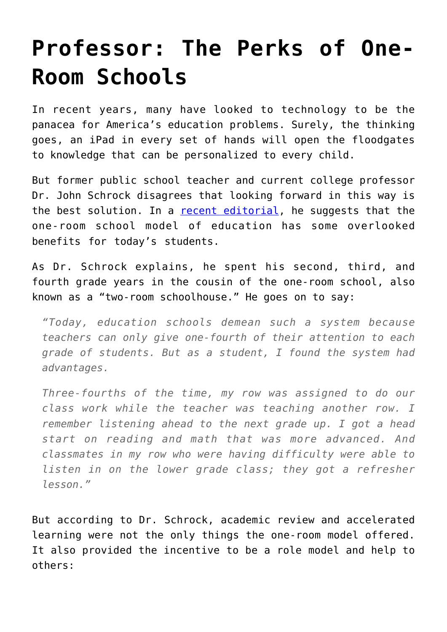## **[Professor: The Perks of One-](https://intellectualtakeout.org/2017/01/professor-the-perks-of-one-room-schools/)[Room Schools](https://intellectualtakeout.org/2017/01/professor-the-perks-of-one-room-schools/)**

In recent years, many have looked to technology to be the panacea for America's education problems. Surely, the thinking goes, an iPad in every set of hands will open the floodgates to knowledge that can be personalized to every child.

But former public school teacher and current college professor Dr. John Schrock disagrees that looking forward in this way is the best solution. In a [recent editorial,](http://www.gctelegram.com/opinion/columnists/good-students-aid-classrooms/article_0ba602a1-299d-597a-99a9-c76ef405215a.html) he suggests that the one-room school model of education has some overlooked benefits for today's students.

As Dr. Schrock explains, he spent his second, third, and fourth grade years in the cousin of the one-room school, also known as a "two-room schoolhouse." He goes on to say:

*"Today, education schools demean such a system because teachers can only give one-fourth of their attention to each grade of students. But as a student, I found the system had advantages.*

*Three-fourths of the time, my row was assigned to do our class work while the teacher was teaching another row. I remember listening ahead to the next grade up. I got a head start on reading and math that was more advanced. And classmates in my row who were having difficulty were able to listen in on the lower grade class; they got a refresher lesson."*

But according to Dr. Schrock, academic review and accelerated learning were not the only things the one-room model offered. It also provided the incentive to be a role model and help to others: